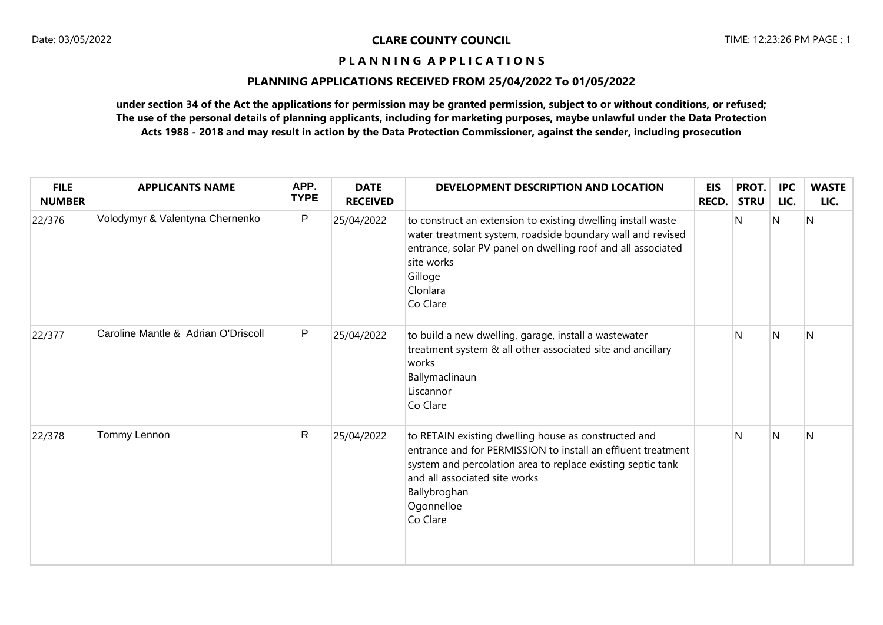## **PLANNING APPLICATIONS RECEIVED FROM 25/04/2022 To 01/05/2022**

| <b>FILE</b><br><b>NUMBER</b> | <b>APPLICANTS NAME</b>              | APP.<br><b>TYPE</b> | <b>DATE</b><br><b>RECEIVED</b> | DEVELOPMENT DESCRIPTION AND LOCATION                                                                                                                                                                                                                           | <b>EIS</b><br><b>RECD.</b> | PROT.<br><b>STRU</b> | <b>IPC</b><br>LIC. | <b>WASTE</b><br>LIC. |
|------------------------------|-------------------------------------|---------------------|--------------------------------|----------------------------------------------------------------------------------------------------------------------------------------------------------------------------------------------------------------------------------------------------------------|----------------------------|----------------------|--------------------|----------------------|
| 22/376                       | Volodymyr & Valentyna Chernenko     | P                   | 25/04/2022                     | to construct an extension to existing dwelling install waste<br>water treatment system, roadside boundary wall and revised<br>entrance, solar PV panel on dwelling roof and all associated<br>site works<br>Gilloge<br>Clonlara<br>Co Clare                    |                            | N                    | N                  | N                    |
| 22/377                       | Caroline Mantle & Adrian O'Driscoll | P                   | 25/04/2022                     | to build a new dwelling, garage, install a wastewater<br>treatment system & all other associated site and ancillary<br>works<br>Ballymaclinaun<br>Liscannor<br>Co Clare                                                                                        |                            | N                    | N                  | N                    |
| 22/378                       | Tommy Lennon                        | $\mathsf{R}$        | 25/04/2022                     | to RETAIN existing dwelling house as constructed and<br>entrance and for PERMISSION to install an effluent treatment<br>system and percolation area to replace existing septic tank<br>and all associated site works<br>Ballybroghan<br>Ogonnelloe<br>Co Clare |                            | N                    | N                  | N                    |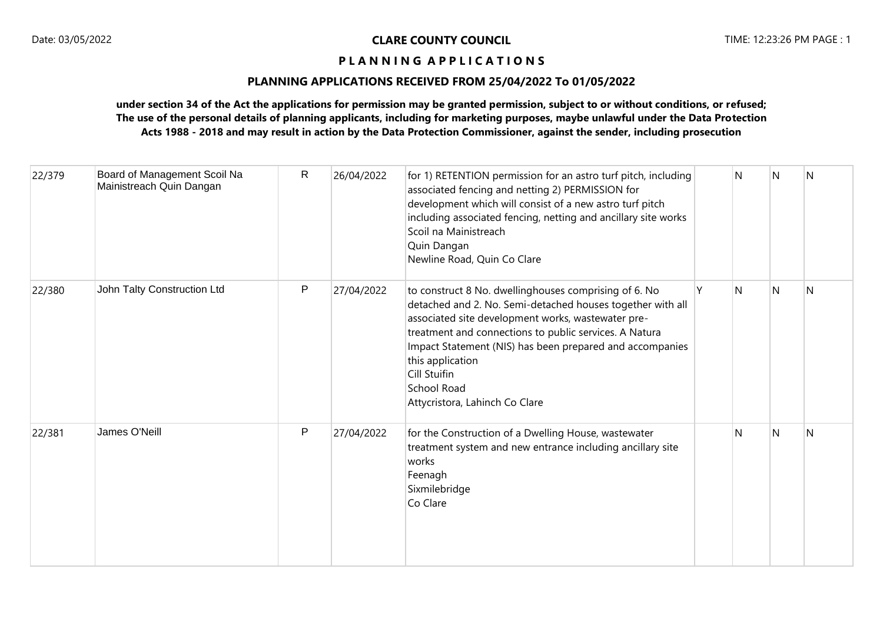# **PLANNING APPLICATIONS RECEIVED FROM 25/04/2022 To 01/05/2022**

| 22/379 | Board of Management Scoil Na<br>Mainistreach Quin Dangan | $\mathsf{R}$ | 26/04/2022 | for 1) RETENTION permission for an astro turf pitch, including<br>associated fencing and netting 2) PERMISSION for<br>development which will consist of a new astro turf pitch<br>including associated fencing, netting and ancillary site works<br>Scoil na Mainistreach<br>Quin Dangan<br>Newline Road, Quin Co Clare                                                                     |   | N | N | N |
|--------|----------------------------------------------------------|--------------|------------|---------------------------------------------------------------------------------------------------------------------------------------------------------------------------------------------------------------------------------------------------------------------------------------------------------------------------------------------------------------------------------------------|---|---|---|---|
| 22/380 | John Talty Construction Ltd                              | P            | 27/04/2022 | to construct 8 No. dwellinghouses comprising of 6. No<br>detached and 2. No. Semi-detached houses together with all<br>associated site development works, wastewater pre-<br>treatment and connections to public services. A Natura<br>Impact Statement (NIS) has been prepared and accompanies<br>this application<br>Cill Stuifin<br><b>School Road</b><br>Attycristora, Lahinch Co Clare | Υ | N | N | N |
| 22/381 | James O'Neill                                            | $\mathsf{P}$ | 27/04/2022 | for the Construction of a Dwelling House, wastewater<br>treatment system and new entrance including ancillary site<br>works<br>Feenagh<br>Sixmilebridge<br>Co Clare                                                                                                                                                                                                                         |   | N | N | N |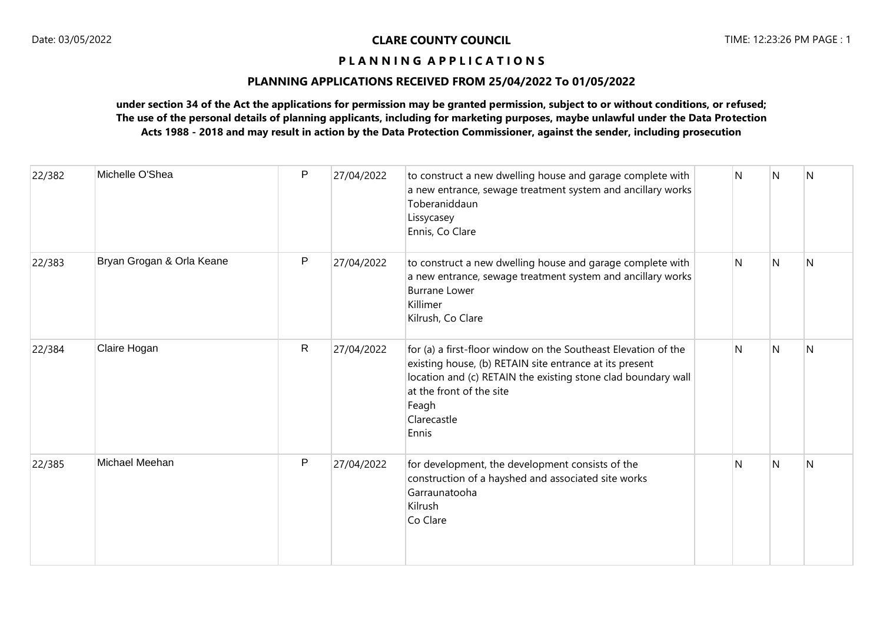# **PLANNING APPLICATIONS RECEIVED FROM 25/04/2022 To 01/05/2022**

| 22/382 | Michelle O'Shea           | P            | 27/04/2022 | to construct a new dwelling house and garage complete with<br>a new entrance, sewage treatment system and ancillary works<br>Toberaniddaun<br>Lissycasey<br>Ennis, Co Clare                                                                             | N | N                       | $\overline{N}$ |
|--------|---------------------------|--------------|------------|---------------------------------------------------------------------------------------------------------------------------------------------------------------------------------------------------------------------------------------------------------|---|-------------------------|----------------|
| 22/383 | Bryan Grogan & Orla Keane | $\mathsf{P}$ | 27/04/2022 | to construct a new dwelling house and garage complete with<br>a new entrance, sewage treatment system and ancillary works<br><b>Burrane Lower</b><br>Killimer<br>Kilrush, Co Clare                                                                      | N | $\overline{\mathsf{N}}$ | N              |
| 22/384 | Claire Hogan              | $\mathsf{R}$ | 27/04/2022 | for (a) a first-floor window on the Southeast Elevation of the<br>existing house, (b) RETAIN site entrance at its present<br>location and (c) RETAIN the existing stone clad boundary wall<br>at the front of the site<br>Feagh<br>Clarecastle<br>Ennis | N | N                       | IN.            |
| 22/385 | Michael Meehan            | $\mathsf{P}$ | 27/04/2022 | for development, the development consists of the<br>construction of a hayshed and associated site works<br>Garraunatooha<br>Kilrush<br>Co Clare                                                                                                         | N | N                       | N              |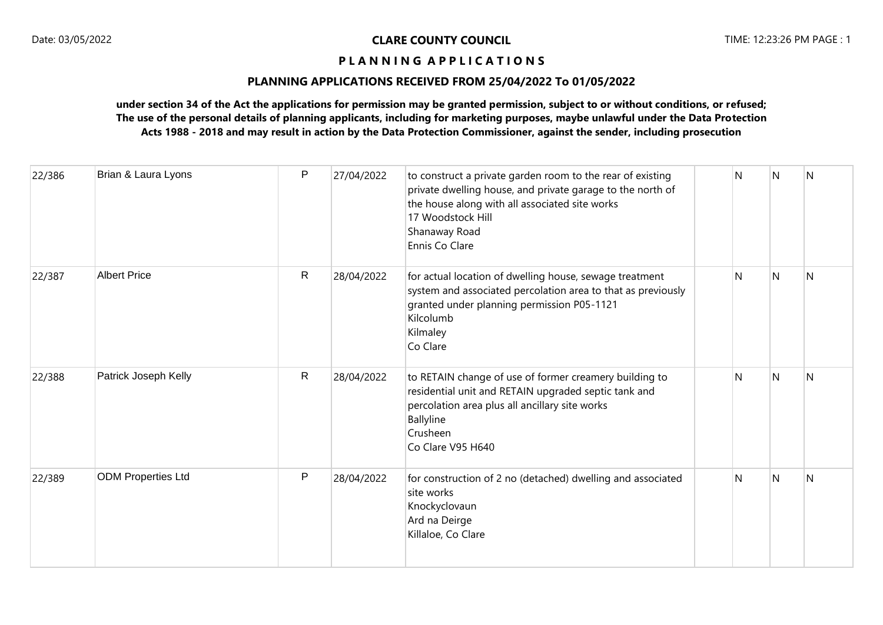## **PLANNING APPLICATIONS RECEIVED FROM 25/04/2022 To 01/05/2022**

| 22/386 | Brian & Laura Lyons       | P            | 27/04/2022 | to construct a private garden room to the rear of existing<br>private dwelling house, and private garage to the north of<br>the house along with all associated site works<br>17 Woodstock Hill<br>Shanaway Road<br>Ennis Co Clare | Ν | N            | IN.          |
|--------|---------------------------|--------------|------------|------------------------------------------------------------------------------------------------------------------------------------------------------------------------------------------------------------------------------------|---|--------------|--------------|
| 22/387 | <b>Albert Price</b>       | $\mathsf{R}$ | 28/04/2022 | for actual location of dwelling house, sewage treatment<br>system and associated percolation area to that as previously<br>granted under planning permission P05-1121<br>Kilcolumb<br>Kilmaley<br>Co Clare                         | Ν | $\mathsf{N}$ | <sup>N</sup> |
| 22/388 | Patrick Joseph Kelly      | $\mathsf{R}$ | 28/04/2022 | to RETAIN change of use of former creamery building to<br>residential unit and RETAIN upgraded septic tank and<br>percolation area plus all ancillary site works<br>Ballyline<br>Crusheen<br>Co Clare V95 H640                     | N | N            | N            |
| 22/389 | <b>ODM Properties Ltd</b> | P            | 28/04/2022 | for construction of 2 no (detached) dwelling and associated<br>site works<br>Knockyclovaun<br>Ard na Deirge<br>Killaloe, Co Clare                                                                                                  | N | N            | N            |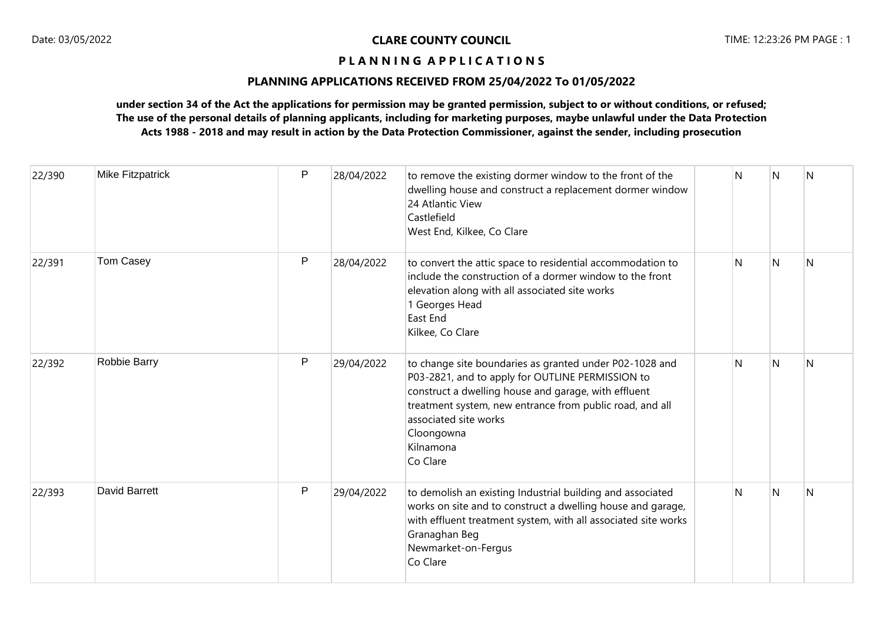# **PLANNING APPLICATIONS RECEIVED FROM 25/04/2022 To 01/05/2022**

| 22/390 | <b>Mike Fitzpatrick</b> | $\mathsf{P}$ | 28/04/2022 | to remove the existing dormer window to the front of the<br>dwelling house and construct a replacement dormer window<br>24 Atlantic View<br>Castlefield<br>West End, Kilkee, Co Clare                                                                                                           | N | N            | N            |
|--------|-------------------------|--------------|------------|-------------------------------------------------------------------------------------------------------------------------------------------------------------------------------------------------------------------------------------------------------------------------------------------------|---|--------------|--------------|
| 22/391 | Tom Casey               | P            | 28/04/2022 | to convert the attic space to residential accommodation to<br>include the construction of a dormer window to the front<br>elevation along with all associated site works<br>1 Georges Head<br>East End<br>Kilkee, Co Clare                                                                      | N | N            | <sup>N</sup> |
| 22/392 | Robbie Barry            | P            | 29/04/2022 | to change site boundaries as granted under P02-1028 and<br>P03-2821, and to apply for OUTLINE PERMISSION to<br>construct a dwelling house and garage, with effluent<br>treatment system, new entrance from public road, and all<br>associated site works<br>Cloongowna<br>Kilnamona<br>Co Clare | N | N            | N            |
| 22/393 | David Barrett           | P            | 29/04/2022 | to demolish an existing Industrial building and associated<br>works on site and to construct a dwelling house and garage,<br>with effluent treatment system, with all associated site works<br>Granaghan Beg<br>Newmarket-on-Fergus<br>Co Clare                                                 | N | <sup>N</sup> | N            |